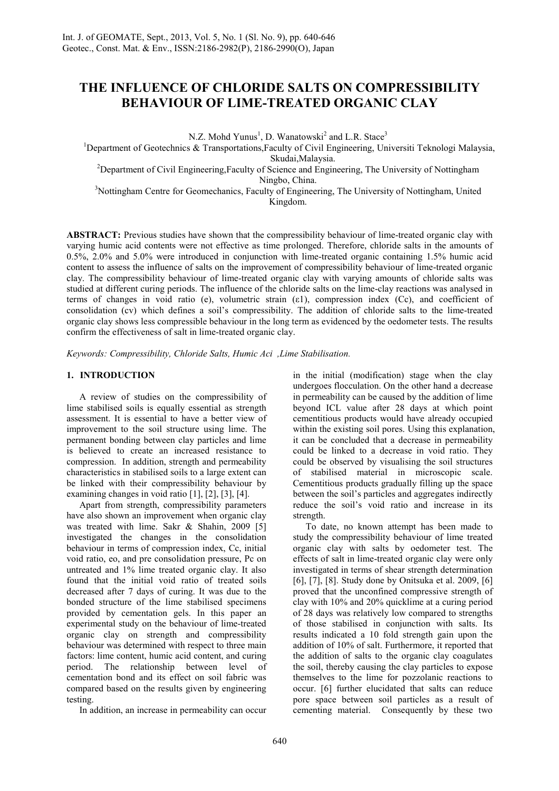# **THE INFLUENCE OF CHLORIDE SALTS ON COMPRESSIBILITY BEHAVIOUR OF LIME-TREATED ORGANIC CLAY**

N.Z. Mohd Yunus<sup>1</sup>, D. Wanatowski<sup>2</sup> and L.R. Stace<sup>3</sup>

<sup>1</sup>Department of Geotechnics & Transportations, Faculty of Civil Engineering, Universiti Teknologi Malaysia,

Skudai,Malaysia.

<sup>2</sup>Department of Civil Engineering, Faculty of Science and Engineering, The University of Nottingham Ningbo, China.

<sup>3</sup>Nottingham Centre for Geomechanics, Faculty of Engineering, The University of Nottingham, United Kingdom.

**ABSTRACT:** Previous studies have shown that the compressibility behaviour of lime-treated organic clay with varying humic acid contents were not effective as time prolonged. Therefore, chloride salts in the amounts of 0.5%, 2.0% and 5.0% were introduced in conjunction with lime-treated organic containing 1.5% humic acid content to assess the influence of salts on the improvement of compressibility behaviour of lime-treated organic clay. The compressibility behaviour of lime-treated organic clay with varying amounts of chloride salts was studied at different curing periods. The influence of the chloride salts on the lime-clay reactions was analysed in terms of changes in void ratio (e), volumetric strain (ε1), compression index (Cc), and coefficient of consolidation (cv) which defines a soil's compressibility. The addition of chloride salts to the lime-treated organic clay shows less compressible behaviour in the long term as evidenced by the oedometer tests. The results confirm the effectiveness of salt in lime-treated organic clay.

*Keywords: Compressibility, Chloride Salts, Humic Aci ,Lime Stabilisation.* 

# **1. INTRODUCTION**

 A review of studies on the compressibility of lime stabilised soils is equally essential as strength assessment. It is essential to have a better view of improvement to the soil structure using lime. The permanent bonding between clay particles and lime is believed to create an increased resistance to compression. In addition, strength and permeability characteristics in stabilised soils to a large extent can be linked with their compressibility behaviour by examining changes in void ratio [1], [2], [3], [4].

 Apart from strength, compressibility parameters have also shown an improvement when organic clay was treated with lime. Sakr & Shahin, 2009 [5] investigated the changes in the consolidation behaviour in terms of compression index, Cc, initial void ratio, eo, and pre consolidation pressure, Pc on untreated and 1% lime treated organic clay. It also found that the initial void ratio of treated soils decreased after 7 days of curing. It was due to the bonded structure of the lime stabilised specimens provided by cementation gels. In this paper an experimental study on the behaviour of lime-treated organic clay on strength and compressibility behaviour was determined with respect to three main factors: lime content, humic acid content, and curing period. The relationship between level of cementation bond and its effect on soil fabric was compared based on the results given by engineering testing.

In addition, an increase in permeability can occur

in the initial (modification) stage when the clay undergoes flocculation. On the other hand a decrease in permeability can be caused by the addition of lime beyond ICL value after 28 days at which point cementitious products would have already occupied within the existing soil pores. Using this explanation, it can be concluded that a decrease in permeability could be linked to a decrease in void ratio. They could be observed by visualising the soil structures of stabilised material in microscopic scale. Cementitious products gradually filling up the space between the soil's particles and aggregates indirectly reduce the soil's void ratio and increase in its strength.

 To date, no known attempt has been made to study the compressibility behaviour of lime treated organic clay with salts by oedometer test. The effects of salt in lime-treated organic clay were only investigated in terms of shear strength determination [6], [7], [8]. Study done by Onitsuka et al. 2009, [6] proved that the unconfined compressive strength of clay with 10% and 20% quicklime at a curing period of 28 days was relatively low compared to strengths of those stabilised in conjunction with salts. Its results indicated a 10 fold strength gain upon the addition of 10% of salt. Furthermore, it reported that the addition of salts to the organic clay coagulates the soil, thereby causing the clay particles to expose themselves to the lime for pozzolanic reactions to occur. [6] further elucidated that salts can reduce pore space between soil particles as a result of cementing material. Consequently by these two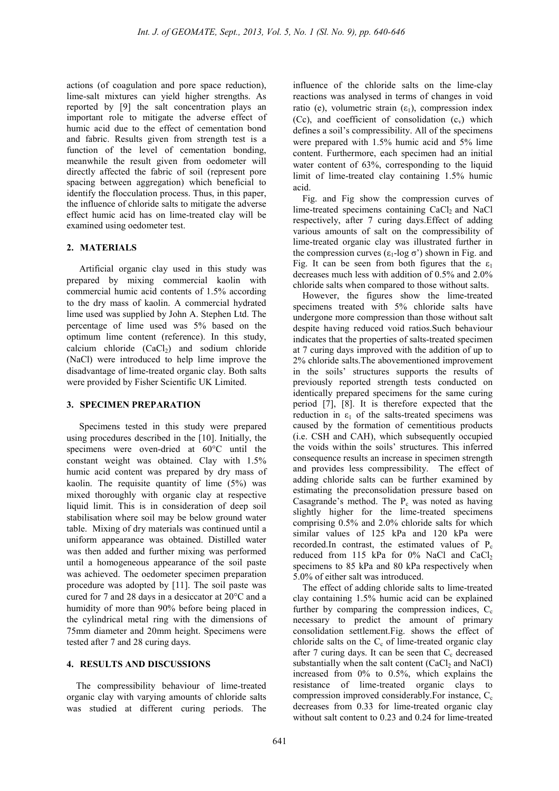actions (of coagulation and pore space reduction), lime-salt mixtures can yield higher strengths. As reported by [9] the salt concentration plays an important role to mitigate the adverse effect of humic acid due to the effect of cementation bond and fabric. Results given from strength test is a function of the level of cementation bonding, meanwhile the result given from oedometer will directly affected the fabric of soil (represent pore spacing between aggregation) which beneficial to identify the flocculation process. Thus, in this paper, the influence of chloride salts to mitigate the adverse effect humic acid has on lime-treated clay will be examined using oedometer test.

#### **2. MATERIALS**

Artificial organic clay used in this study was prepared by mixing commercial kaolin with commercial humic acid contents of 1.5% according to the dry mass of kaolin. A commercial hydrated lime used was supplied by John A. Stephen Ltd. The percentage of lime used was 5% based on the optimum lime content (reference). In this study, calcium chloride  $(CaCl<sub>2</sub>)$  and sodium chloride (NaCl) were introduced to help lime improve the disadvantage of lime-treated organic clay. Both salts were provided by Fisher Scientific UK Limited.

### **3. SPECIMEN PREPARATION**

Specimens tested in this study were prepared using procedures described in the [10]. Initially, the specimens were oven-dried at 60°C until the constant weight was obtained. Clay with 1.5% humic acid content was prepared by dry mass of kaolin. The requisite quantity of lime (5%) was mixed thoroughly with organic clay at respective liquid limit. This is in consideration of deep soil stabilisation where soil may be below ground water table. Mixing of dry materials was continued until a uniform appearance was obtained. Distilled water was then added and further mixing was performed until a homogeneous appearance of the soil paste was achieved. The oedometer specimen preparation procedure was adopted by [11]. The soil paste was cured for 7 and 28 days in a desiccator at 20°C and a humidity of more than 90% before being placed in the cylindrical metal ring with the dimensions of 75mm diameter and 20mm height. Specimens were tested after 7 and 28 curing days.

#### **4. RESULTS AND DISCUSSIONS**

The compressibility behaviour of lime-treated organic clay with varying amounts of chloride salts was studied at different curing periods. The influence of the chloride salts on the lime-clay reactions was analysed in terms of changes in void ratio (e), volumetric strain  $(\epsilon_1)$ , compression index (Cc), and coefficient of consolidation  $(c_v)$  which defines a soil's compressibility. All of the specimens were prepared with 1.5% humic acid and 5% lime content. Furthermore, each specimen had an initial water content of 63%, corresponding to the liquid limit of lime-treated clay containing 1.5% humic acid.

Fig. and Fig show the compression curves of lime-treated specimens containing  $CaCl<sub>2</sub>$  and NaCl respectively, after 7 curing days.Effect of adding various amounts of salt on the compressibility of lime-treated organic clay was illustrated further in the compression curves  $(ε_1$ -log σ') shown in Fig. and Fig. It can be seen from both figures that the  $\varepsilon_1$ decreases much less with addition of 0.5% and 2.0% chloride salts when compared to those without salts.

However, the figures show the lime-treated specimens treated with 5% chloride salts have undergone more compression than those without salt despite having reduced void ratios.Such behaviour indicates that the properties of salts-treated specimen at 7 curing days improved with the addition of up to 2% chloride salts.The abovementioned improvement in the soils' structures supports the results of previously reported strength tests conducted on identically prepared specimens for the same curing period [7], [8]. It is therefore expected that the reduction in  $\varepsilon_1$  of the salts-treated specimens was caused by the formation of cementitious products (i.e. CSH and CAH), which subsequently occupied the voids within the soils' structures. This inferred consequence results an increase in specimen strength and provides less compressibility. The effect of adding chloride salts can be further examined by estimating the preconsolidation pressure based on Casagrande's method. The  $P_c$  was noted as having slightly higher for the lime-treated specimens comprising 0.5% and 2.0% chloride salts for which similar values of 125 kPa and 120 kPa were recorded.In contrast, the estimated values of  $P_c$ reduced from 115 kPa for 0% NaCl and CaCl<sub>2</sub> specimens to 85 kPa and 80 kPa respectively when 5.0% of either salt was introduced.

The effect of adding chloride salts to lime-treated clay containing 1.5% humic acid can be explained further by comparing the compression indices,  $C_c$ necessary to predict the amount of primary consolidation settlement.Fig. shows the effect of chloride salts on the  $C_c$  of lime-treated organic clay after 7 curing days. It can be seen that  $C_c$  decreased substantially when the salt content  $(CaCl<sub>2</sub>$  and NaCl) increased from 0% to 0.5%, which explains the resistance of lime-treated organic clays to compression improved considerably. For instance,  $C_c$ decreases from 0.33 for lime-treated organic clay without salt content to 0.23 and 0.24 for lime-treated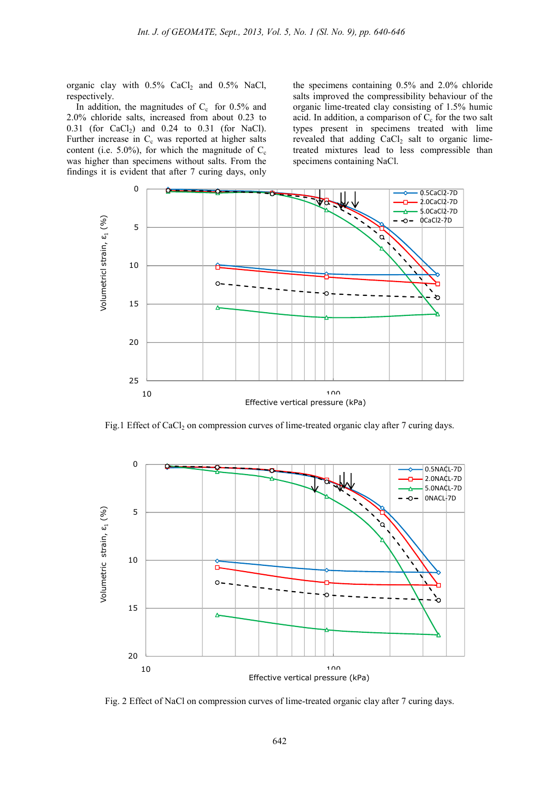organic clay with  $0.5\%$  CaCl<sub>2</sub> and  $0.5\%$  NaCl, respectively.

In addition, the magnitudes of  $C_c$  for 0.5% and 2.0% chloride salts, increased from about 0.23 to 0.31 (for CaCl<sub>2</sub>) and 0.24 to 0.31 (for NaCl). Further increase in  $C_c$  was reported at higher salts content (i.e. 5.0%), for which the magnitude of  $C_c$ was higher than specimens without salts. From the findings it is evident that after 7 curing days, only

the specimens containing 0.5% and 2.0% chloride salts improved the compressibility behaviour of the organic lime-treated clay consisting of 1.5% humic acid. In addition, a comparison of  $C_c$  for the two salt types present in specimens treated with lime revealed that adding  $CaCl<sub>2</sub>$  salt to organic limetreated mixtures lead to less compressible than specimens containing NaCl.



Fig.1 Effect of CaCl<sub>2</sub> on compression curves of lime-treated organic clay after 7 curing days.



Fig. 2 Effect of NaCl on compression curves of lime-treated organic clay after 7 curing days.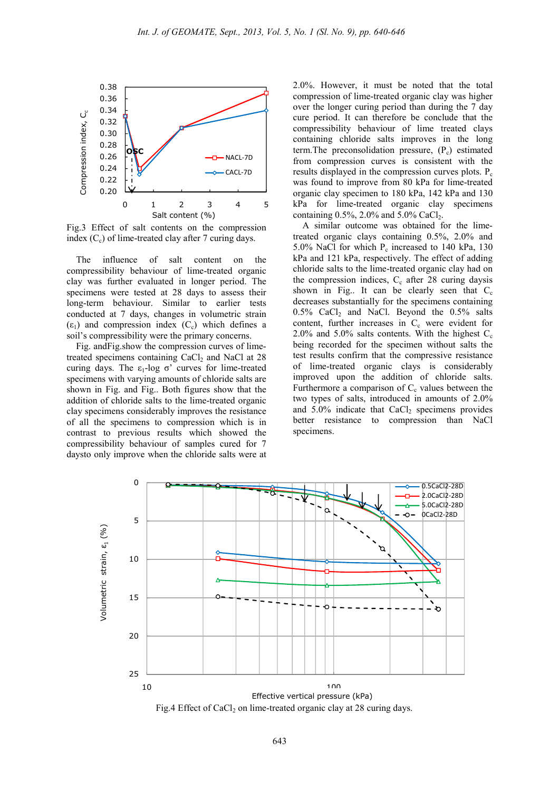

Fig.3 Effect of salt contents on the compression index  $(C_c)$  of lime-treated clay after 7 curing days.

The influence of salt content on the compressibility behaviour of lime-treated organic clay was further evaluated in longer period. The specimens were tested at 28 days to assess their long-term behaviour. Similar to earlier tests conducted at 7 days, changes in volumetric strain  $(\varepsilon_1)$  and compression index  $(C_c)$  which defines a soil's compressibility were the primary concerns.

Fig. andFig.show the compression curves of limetreated specimens containing  $CaCl<sub>2</sub>$  and NaCl at 28 curing days. The  $ε_1$ -log σ' curves for lime-treated specimens with varying amounts of chloride salts are shown in Fig. and Fig.. Both figures show that the addition of chloride salts to the lime-treated organic clay specimens considerably improves the resistance of all the specimens to compression which is in contrast to previous results which showed the compressibility behaviour of samples cured for 7 daysto only improve when the chloride salts were at

2.0%. However, it must be noted that the total compression of lime-treated organic clay was higher over the longer curing period than during the 7 day cure period. It can therefore be conclude that the compressibility behaviour of lime treated clays containing chloride salts improves in the long term. The preconsolidation pressure,  $(P_c)$  estimated from compression curves is consistent with the results displayed in the compression curves plots.  $P_c$ was found to improve from 80 kPa for lime-treated organic clay specimen to 180 kPa, 142 kPa and 130 kPa for lime-treated organic clay specimens containing  $0.5\%$ ,  $2.0\%$  and  $5.0\%$  CaCl<sub>2</sub>.

A similar outcome was obtained for the limetreated organic clays containing 0.5%, 2.0% and 5.0% NaCl for which  $P_c$  increased to 140 kPa, 130 kPa and 121 kPa, respectively. The effect of adding chloride salts to the lime-treated organic clay had on the compression indices,  $C_c$  after 28 curing daysis shown in Fig.. It can be clearly seen that  $C_c$ decreases substantially for the specimens containing  $0.5\%$  CaCl<sub>2</sub> and NaCl. Beyond the  $0.5\%$  salts content, further increases in  $C_c$  were evident for 2.0% and 5.0% salts contents. With the highest  $C_c$ being recorded for the specimen without salts the test results confirm that the compressive resistance of lime-treated organic clays is considerably improved upon the addition of chloride salts. Furthermore a comparison of  $C_c$  values between the two types of salts, introduced in amounts of 2.0% and  $5.0\%$  indicate that  $CaCl<sub>2</sub>$  specimens provides better resistance to compression than NaCl specimens.

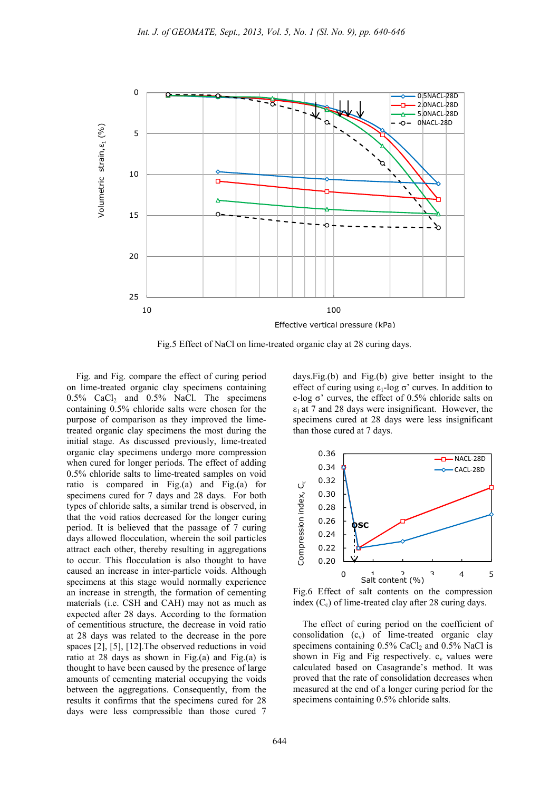

Fig.5 Effect of NaCl on lime-treated organic clay at 28 curing days.

Fig. and Fig. compare the effect of curing period on lime-treated organic clay specimens containing  $0.5\%$  CaCl<sub>2</sub> and  $0.5\%$  NaCl. The specimens containing 0.5% chloride salts were chosen for the purpose of comparison as they improved the limetreated organic clay specimens the most during the initial stage. As discussed previously, lime-treated organic clay specimens undergo more compression when cured for longer periods. The effect of adding 0.5% chloride salts to lime-treated samples on void ratio is compared in Fig.(a) and Fig.(a) for specimens cured for 7 days and 28 days. For both types of chloride salts, a similar trend is observed, in that the void ratios decreased for the longer curing period. It is believed that the passage of 7 curing days allowed flocculation, wherein the soil particles attract each other, thereby resulting in aggregations to occur. This flocculation is also thought to have caused an increase in inter-particle voids. Although specimens at this stage would normally experience an increase in strength, the formation of cementing materials (i.e. CSH and CAH) may not as much as expected after 28 days. According to the formation of cementitious structure, the decrease in void ratio at 28 days was related to the decrease in the pore spaces [2], [5], [12].The observed reductions in void ratio at 28 days as shown in Fig.(a) and Fig.(a) is thought to have been caused by the presence of large amounts of cementing material occupying the voids between the aggregations. Consequently, from the results it confirms that the specimens cured for 28 days were less compressible than those cured 7

days.Fig.(b) and Fig.(b) give better insight to the effect of curing using  $\varepsilon_1$ -log  $\sigma$ ' curves. In addition to e-log σ' curves, the effect of 0.5% chloride salts on  $\varepsilon_1$  at 7 and 28 days were insignificant. However, the specimens cured at 28 days were less insignificant than those cured at 7 days.



Fig.6 Effect of salt contents on the compression index  $(C_c)$  of lime-treated clay after 28 curing days.

The effect of curing period on the coefficient of consolidation  $(c_v)$  of lime-treated organic clay specimens containing  $0.5\%$  CaCl<sub>2</sub> and  $0.5\%$  NaCl is shown in Fig and Fig respectively.  $c_v$  values were calculated based on Casagrande's method. It was proved that the rate of consolidation decreases when measured at the end of a longer curing period for the specimens containing 0.5% chloride salts.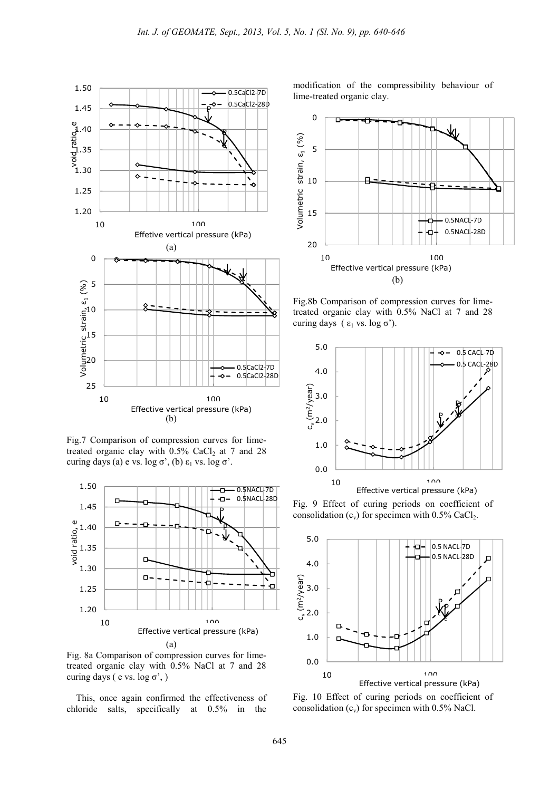

Fig.7 Comparison of compression curves for limetreated organic clay with  $0.5\%$  CaCl<sub>2</sub> at 7 and 28 curing days (a) e vs. log σ', (b)  $ε_1$  vs. log σ'.



Fig. 8a Comparison of compression curves for limetreated organic clay with 0.5% NaCl at 7 and 28 curing days ( e vs.  $log \sigma'$ , )

This, once again confirmed the effectiveness of chloride salts, specifically at 0.5% in the

modification of the compressibility behaviour of lime-treated organic clay.



Fig.8b Comparison of compression curves for limetreated organic clay with 0.5% NaCl at 7 and 28 curing days ( $ε$ <sub>1</sub> vs. log σ').



Fig. 9 Effect of curing periods on coefficient of consolidation  $(c_v)$  for specimen with 0.5% CaCl<sub>2</sub>.



Fig. 10 Effect of curing periods on coefficient of consolidation  $(c_v)$  for specimen with 0.5% NaCl.